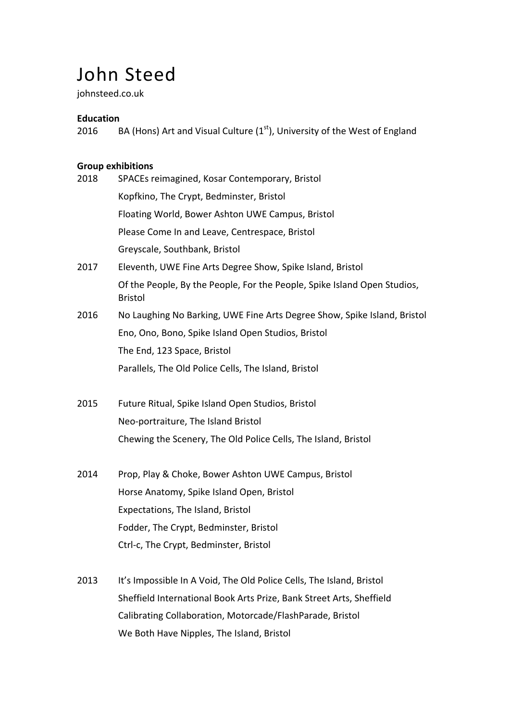# John Steed

johnsteed.co.uk

# **Education**

2016 BA (Hons) Art and Visual Culture  $(1<sup>st</sup>)$ , University of the West of England

# **Group exhibitions**

| 2018 | SPACEs reimagined, Kosar Contemporary, Bristol                                             |
|------|--------------------------------------------------------------------------------------------|
|      | Kopfkino, The Crypt, Bedminster, Bristol                                                   |
|      | Floating World, Bower Ashton UWE Campus, Bristol                                           |
|      | Please Come In and Leave, Centrespace, Bristol                                             |
|      | Greyscale, Southbank, Bristol                                                              |
| 2017 | Eleventh, UWE Fine Arts Degree Show, Spike Island, Bristol                                 |
|      | Of the People, By the People, For the People, Spike Island Open Studios,<br><b>Bristol</b> |
| 2016 | No Laughing No Barking, UWE Fine Arts Degree Show, Spike Island, Bristol                   |
|      | Eno, Ono, Bono, Spike Island Open Studios, Bristol                                         |
|      | The End, 123 Space, Bristol                                                                |
|      | Parallels, The Old Police Cells, The Island, Bristol                                       |
| 2015 | Future Ritual, Spike Island Open Studios, Bristol                                          |
|      | Neo-portraiture, The Island Bristol                                                        |
|      | Chewing the Scenery, The Old Police Cells, The Island, Bristol                             |
| 2014 | Prop, Play & Choke, Bower Ashton UWE Campus, Bristol                                       |
|      | Horse Anatomy, Spike Island Open, Bristol                                                  |
|      | Expectations, The Island, Bristol                                                          |
|      | Fodder, The Crypt, Bedminster, Bristol                                                     |
|      | Ctrl-c, The Crypt, Bedminster, Bristol                                                     |
| 2013 | It's Impossible In A Void, The Old Police Cells, The Island, Bristol                       |
|      | Sheffield International Book Arts Prize, Bank Street Arts, Sheffield                       |
|      | Calibrating Collaboration, Motorcade/FlashParade, Bristol                                  |

We Both Have Nipples, The Island, Bristol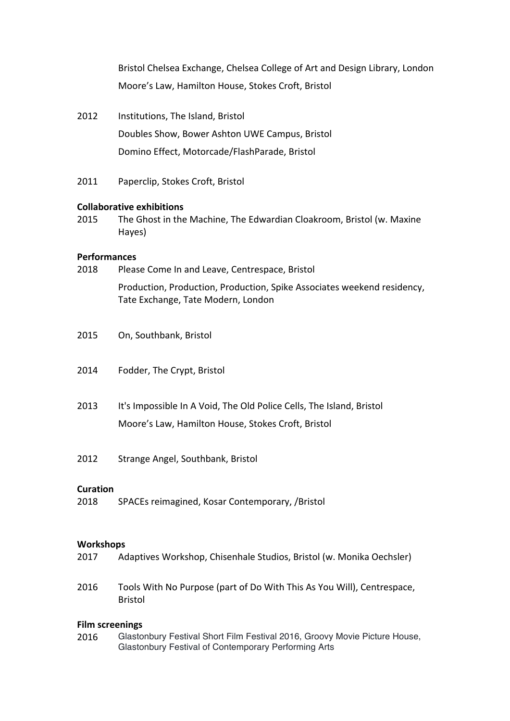Bristol Chelsea Exchange, Chelsea College of Art and Design Library, London Moore's Law, Hamilton House, Stokes Croft, Bristol

- 2012 Institutions, The Island, Bristol Doubles Show, Bower Ashton UWE Campus, Bristol Domino Effect, Motorcade/FlashParade, Bristol
- 2011 Paperclip, Stokes Croft, Bristol

#### **Collaborative exhibitions**

2015 The Ghost in the Machine, The Edwardian Cloakroom, Bristol (w. Maxine Hayes)

#### **Performances**

- 2018 Please Come In and Leave, Centrespace, Bristol Production, Production, Production, Spike Associates weekend residency, Tate Exchange, Tate Modern, London
- 2015 On, Southbank, Bristol
- 2014 Fodder, The Crypt, Bristol
- 2013 It's Impossible In A Void, The Old Police Cells, The Island, Bristol Moore's Law, Hamilton House, Stokes Croft, Bristol
- 2012 Strange Angel, Southbank, Bristol

#### **Curation**

2018 SPACEs reimagined, Kosar Contemporary, /Bristol

#### **Workshops**

- 2017 Adaptives Workshop, Chisenhale Studios, Bristol (w. Monika Oechsler)
- 2016 Tools With No Purpose (part of Do With This As You Will), Centrespace, Bristol

## **Film screenings**

2016 Glastonbury Festival Short Film Festival 2016, Groovy Movie Picture House, Glastonbury Festival of Contemporary Performing Arts